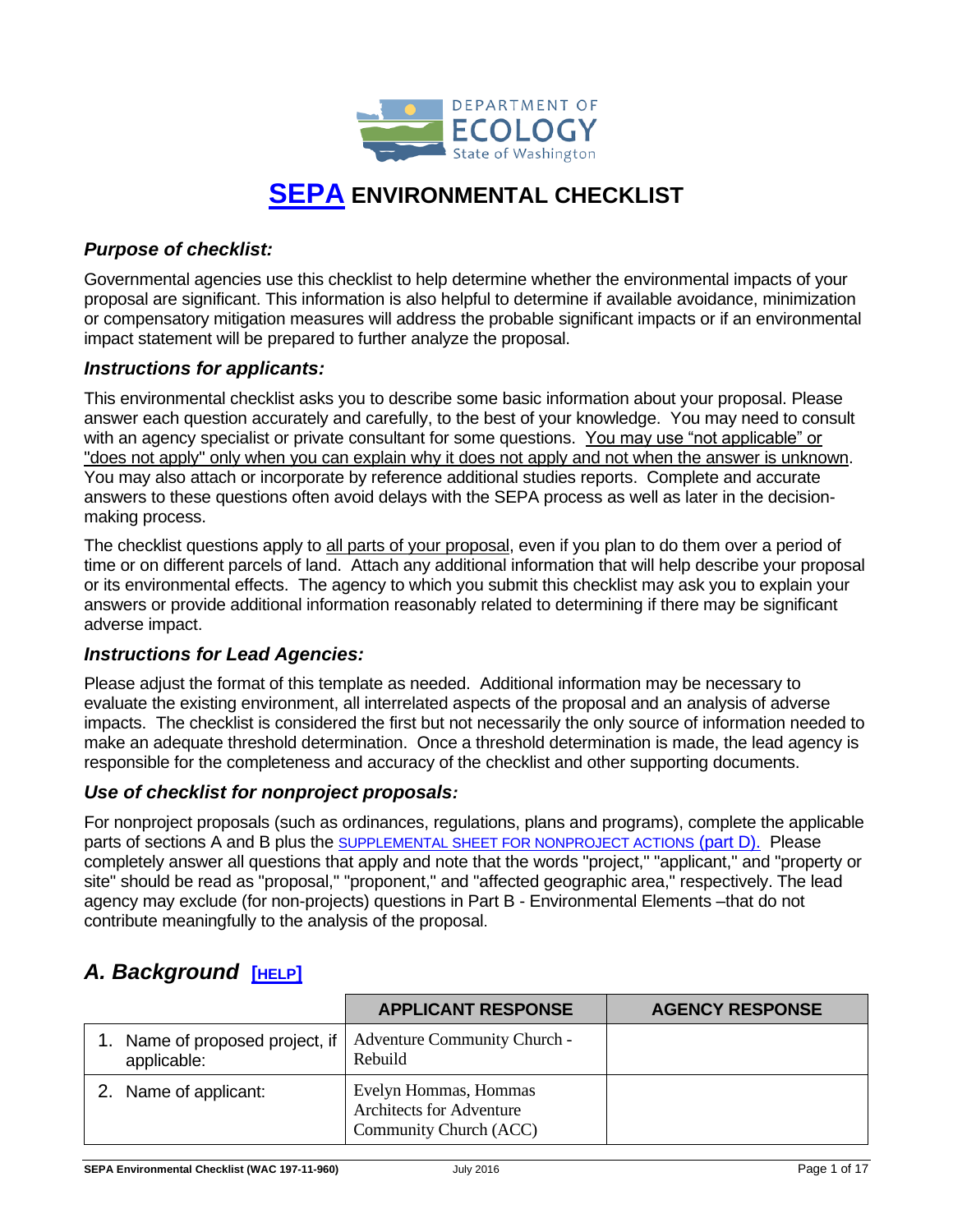

## **[SEPA](https://ecology.wa.gov/Regulations-Permits/SEPA/Environmental-review/SEPA-guidance/Checklist-guidance) ENVIRONMENTAL CHECKLIST**

### *Purpose of checklist:*

Governmental agencies use this checklist to help determine whether the environmental impacts of your proposal are significant. This information is also helpful to determine if available avoidance, minimization or compensatory mitigation measures will address the probable significant impacts or if an environmental impact statement will be prepared to further analyze the proposal.

#### *Instructions for applicants:*

This environmental checklist asks you to describe some basic information about your proposal. Please answer each question accurately and carefully, to the best of your knowledge. You may need to consult with an agency specialist or private consultant for some questions. You may use "not applicable" or "does not apply" only when you can explain why it does not apply and not when the answer is unknown. You may also attach or incorporate by reference additional studies reports. Complete and accurate answers to these questions often avoid delays with the SEPA process as well as later in the decisionmaking process.

The checklist questions apply to all parts of your proposal, even if you plan to do them over a period of time or on different parcels of land. Attach any additional information that will help describe your proposal or its environmental effects. The agency to which you submit this checklist may ask you to explain your answers or provide additional information reasonably related to determining if there may be significant adverse impact.

#### *Instructions for Lead Agencies:*

Please adjust the format of this template as needed. Additional information may be necessary to evaluate the existing environment, all interrelated aspects of the proposal and an analysis of adverse impacts. The checklist is considered the first but not necessarily the only source of information needed to make an adequate threshold determination. Once a threshold determination is made, the lead agency is responsible for the completeness and accuracy of the checklist and other supporting documents.

#### *Use of checklist for nonproject proposals:*

For nonproject proposals (such as ordinances, regulations, plans and programs), complete the applicable parts of sections A and B plus the SUPPLEMENTAL SHEET FOR NONPROJECT ACTIONS (part D). Please completely answer all questions that apply and note that the words "project," "applicant," and "property or site" should be read as "proposal," "proponent," and "affected geographic area," respectively. The lead agency may exclude (for non-projects) questions in Part B - Environmental Elements –that do not contribute meaningfully to the analysis of the proposal.

### *A. Background* **[[HELP](https://ecology.wa.gov/Regulations-Permits/SEPA/Environmental-review/SEPA-guidance/SEPA-checklist-guidance/SEPA-Checklist-Section-A-Background)]**

|                                             | <b>APPLICANT RESPONSE</b>                                                          | <b>AGENCY RESPONSE</b> |
|---------------------------------------------|------------------------------------------------------------------------------------|------------------------|
| Name of proposed project, if<br>applicable: | Adventure Community Church -<br>Rebuild                                            |                        |
| 2. Name of applicant:                       | Evelyn Hommas, Hommas<br><b>Architects for Adventure</b><br>Community Church (ACC) |                        |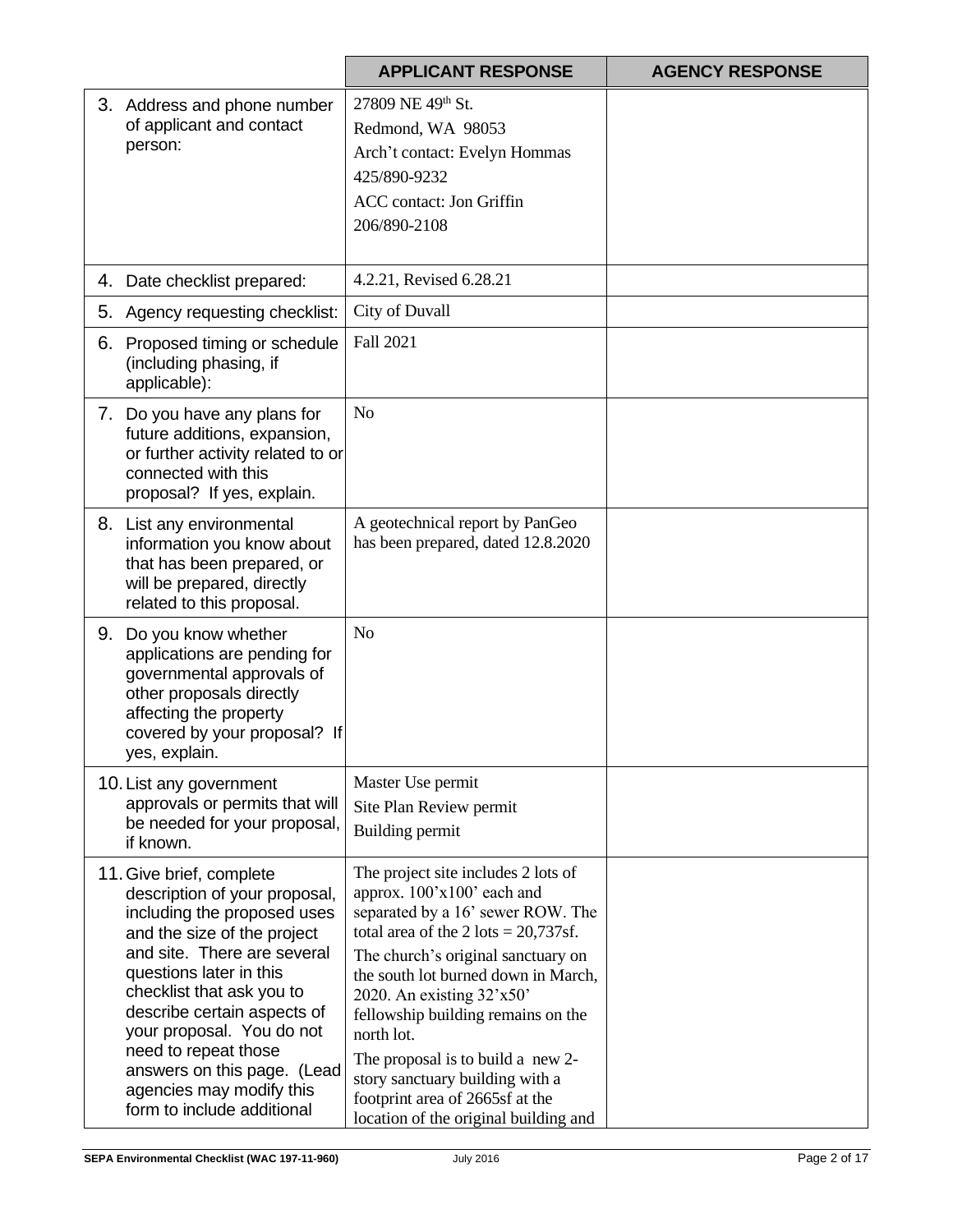|    |                                                                                                                                                                                                                                                                                                                                                                                             | <b>APPLICANT RESPONSE</b>                                                                                                                                                                                                                                                                                                                                                                                                                                             | <b>AGENCY RESPONSE</b> |
|----|---------------------------------------------------------------------------------------------------------------------------------------------------------------------------------------------------------------------------------------------------------------------------------------------------------------------------------------------------------------------------------------------|-----------------------------------------------------------------------------------------------------------------------------------------------------------------------------------------------------------------------------------------------------------------------------------------------------------------------------------------------------------------------------------------------------------------------------------------------------------------------|------------------------|
|    | 3. Address and phone number<br>of applicant and contact<br>person:                                                                                                                                                                                                                                                                                                                          | 27809 NE 49th St.<br>Redmond, WA 98053<br>Arch't contact: Evelyn Hommas<br>425/890-9232<br><b>ACC</b> contact: Jon Griffin<br>206/890-2108                                                                                                                                                                                                                                                                                                                            |                        |
| 4. | Date checklist prepared:                                                                                                                                                                                                                                                                                                                                                                    | 4.2.21, Revised 6.28.21                                                                                                                                                                                                                                                                                                                                                                                                                                               |                        |
| 5. | Agency requesting checklist:                                                                                                                                                                                                                                                                                                                                                                | City of Duvall                                                                                                                                                                                                                                                                                                                                                                                                                                                        |                        |
| 6. | Proposed timing or schedule<br>(including phasing, if<br>applicable):                                                                                                                                                                                                                                                                                                                       | Fall 2021                                                                                                                                                                                                                                                                                                                                                                                                                                                             |                        |
|    | 7. Do you have any plans for<br>future additions, expansion,<br>or further activity related to or<br>connected with this<br>proposal? If yes, explain.                                                                                                                                                                                                                                      | N <sub>o</sub>                                                                                                                                                                                                                                                                                                                                                                                                                                                        |                        |
|    | 8. List any environmental<br>information you know about<br>that has been prepared, or<br>will be prepared, directly<br>related to this proposal.                                                                                                                                                                                                                                            | A geotechnical report by PanGeo<br>has been prepared, dated 12.8.2020                                                                                                                                                                                                                                                                                                                                                                                                 |                        |
|    | 9. Do you know whether<br>applications are pending for<br>governmental approvals of<br>other proposals directly<br>affecting the property<br>covered by your proposal? If<br>yes, explain.                                                                                                                                                                                                  | N <sub>o</sub>                                                                                                                                                                                                                                                                                                                                                                                                                                                        |                        |
|    | 10. List any government<br>approvals or permits that will<br>be needed for your proposal,<br>if known.                                                                                                                                                                                                                                                                                      | Master Use permit<br>Site Plan Review permit<br>Building permit                                                                                                                                                                                                                                                                                                                                                                                                       |                        |
|    | 11. Give brief, complete<br>description of your proposal,<br>including the proposed uses<br>and the size of the project<br>and site. There are several<br>questions later in this<br>checklist that ask you to<br>describe certain aspects of<br>your proposal. You do not<br>need to repeat those<br>answers on this page. (Lead<br>agencies may modify this<br>form to include additional | The project site includes 2 lots of<br>approx. 100'x100' each and<br>separated by a 16' sewer ROW. The<br>total area of the $2$ lots = $20,737$ sf.<br>The church's original sanctuary on<br>the south lot burned down in March,<br>2020. An existing 32'x50'<br>fellowship building remains on the<br>north lot.<br>The proposal is to build a new 2-<br>story sanctuary building with a<br>footprint area of 2665sf at the<br>location of the original building and |                        |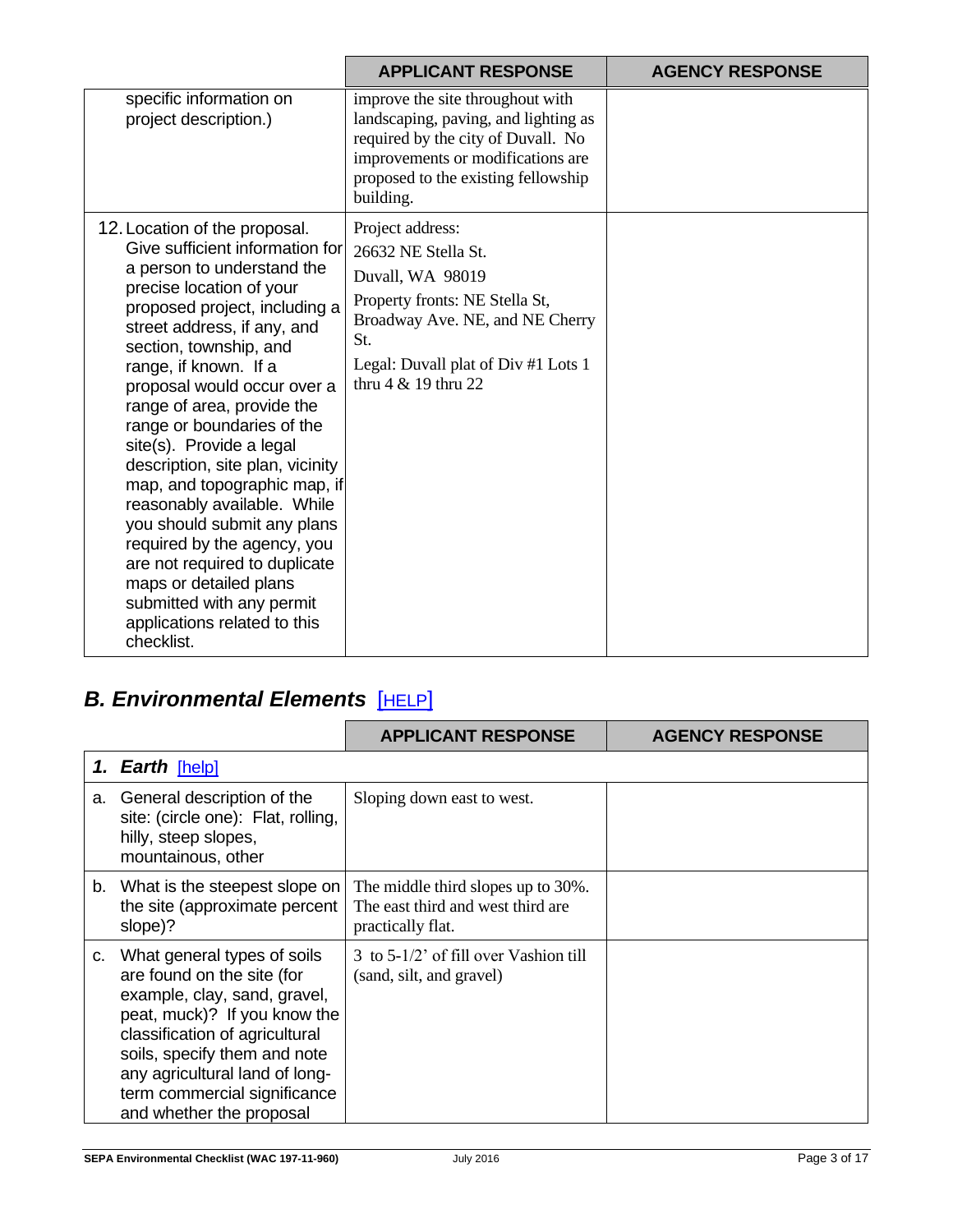|                                                                                                                                                                                                                                                                                                                                                                                                                                                                                                                                                                                                                                                                             | <b>APPLICANT RESPONSE</b>                                                                                                                                                                               | <b>AGENCY RESPONSE</b> |
|-----------------------------------------------------------------------------------------------------------------------------------------------------------------------------------------------------------------------------------------------------------------------------------------------------------------------------------------------------------------------------------------------------------------------------------------------------------------------------------------------------------------------------------------------------------------------------------------------------------------------------------------------------------------------------|---------------------------------------------------------------------------------------------------------------------------------------------------------------------------------------------------------|------------------------|
| specific information on<br>project description.)                                                                                                                                                                                                                                                                                                                                                                                                                                                                                                                                                                                                                            | improve the site throughout with<br>landscaping, paving, and lighting as<br>required by the city of Duvall. No<br>improvements or modifications are<br>proposed to the existing fellowship<br>building. |                        |
| 12. Location of the proposal.<br>Give sufficient information for<br>a person to understand the<br>precise location of your<br>proposed project, including a<br>street address, if any, and<br>section, township, and<br>range, if known. If a<br>proposal would occur over a<br>range of area, provide the<br>range or boundaries of the<br>site(s). Provide a legal<br>description, site plan, vicinity<br>map, and topographic map, if<br>reasonably available. While<br>you should submit any plans<br>required by the agency, you<br>are not required to duplicate<br>maps or detailed plans<br>submitted with any permit<br>applications related to this<br>checklist. | Project address:<br>26632 NE Stella St.<br>Duvall, WA 98019<br>Property fronts: NE Stella St,<br>Broadway Ave. NE, and NE Cherry<br>St.<br>Legal: Duvall plat of Div #1 Lots 1<br>thru 4 & 19 thru 22   |                        |

# *B. Environmental Elements* [[HELP](https://ecology.wa.gov/Regulations-Permits/SEPA/Environmental-review/SEPA-guidance/SEPA-checklist-guidance/SEPA-Checklist-Section-B-Environmental-elements)]

|    |                                                                                                                                                                                                                                                                                           | <b>APPLICANT RESPONSE</b>                                                                     | <b>AGENCY RESPONSE</b> |
|----|-------------------------------------------------------------------------------------------------------------------------------------------------------------------------------------------------------------------------------------------------------------------------------------------|-----------------------------------------------------------------------------------------------|------------------------|
|    | 1. Earth [help]                                                                                                                                                                                                                                                                           |                                                                                               |                        |
| a. | General description of the<br>site: (circle one): Flat, rolling,<br>hilly, steep slopes,<br>mountainous, other                                                                                                                                                                            | Sloping down east to west.                                                                    |                        |
|    | b. What is the steepest slope on<br>the site (approximate percent<br>slope)?                                                                                                                                                                                                              | The middle third slopes up to 30%.<br>The east third and west third are.<br>practically flat. |                        |
| c. | What general types of soils<br>are found on the site (for<br>example, clay, sand, gravel,<br>peat, muck)? If you know the<br>classification of agricultural<br>soils, specify them and note<br>any agricultural land of long-<br>term commercial significance<br>and whether the proposal | 3 to 5-1/2' of fill over Vashion till<br>(sand, silt, and gravel)                             |                        |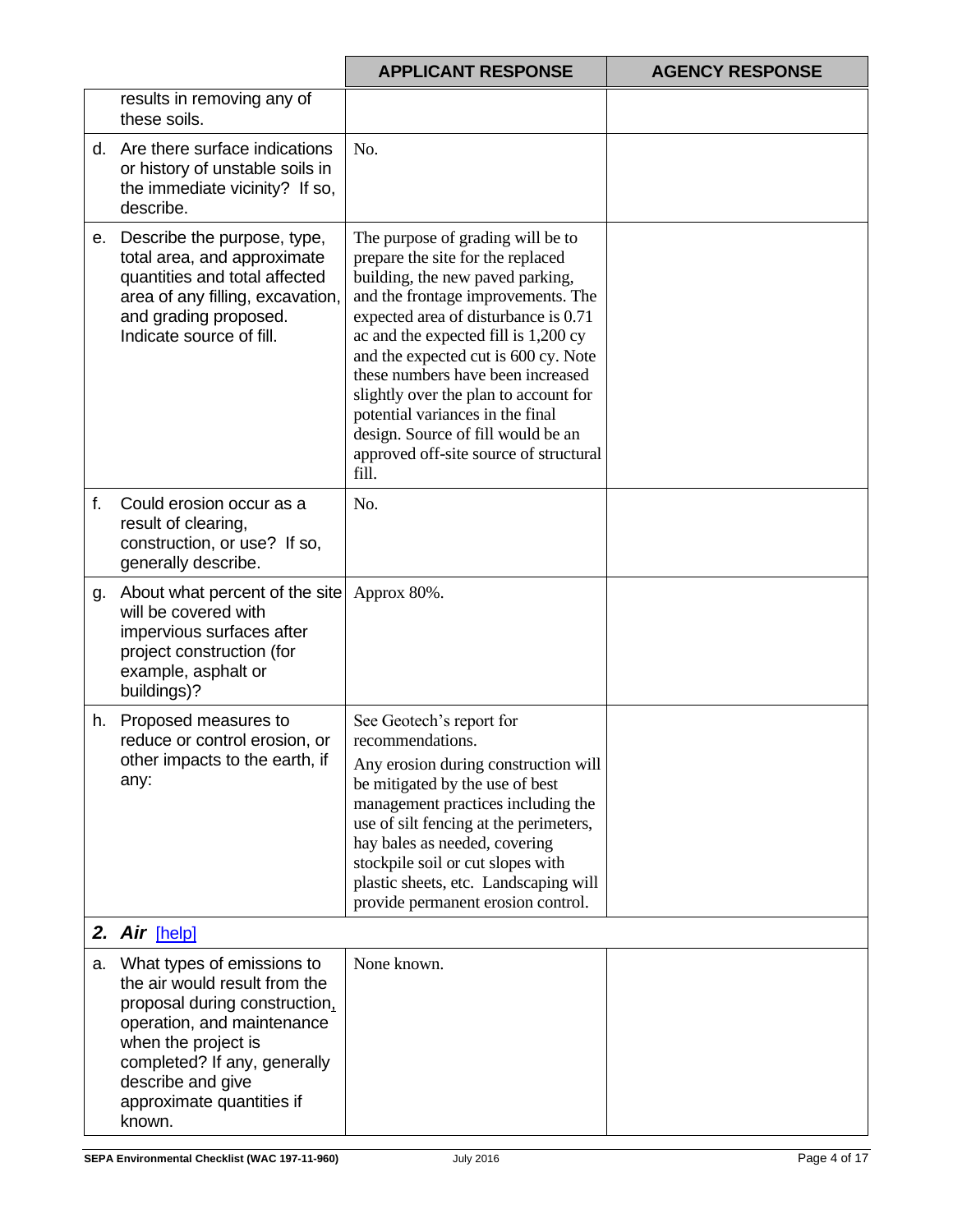|    |                                                                                                                                                                                                                                                  | <b>APPLICANT RESPONSE</b>                                                                                                                                                                                                                                                                                                                                                                                                                                                           | <b>AGENCY RESPONSE</b> |
|----|--------------------------------------------------------------------------------------------------------------------------------------------------------------------------------------------------------------------------------------------------|-------------------------------------------------------------------------------------------------------------------------------------------------------------------------------------------------------------------------------------------------------------------------------------------------------------------------------------------------------------------------------------------------------------------------------------------------------------------------------------|------------------------|
|    | results in removing any of<br>these soils.                                                                                                                                                                                                       |                                                                                                                                                                                                                                                                                                                                                                                                                                                                                     |                        |
|    | d. Are there surface indications<br>or history of unstable soils in<br>the immediate vicinity? If so,<br>describe.                                                                                                                               | No.                                                                                                                                                                                                                                                                                                                                                                                                                                                                                 |                        |
| е. | Describe the purpose, type,<br>total area, and approximate<br>quantities and total affected<br>area of any filling, excavation,<br>and grading proposed.<br>Indicate source of fill.                                                             | The purpose of grading will be to<br>prepare the site for the replaced<br>building, the new paved parking,<br>and the frontage improvements. The<br>expected area of disturbance is 0.71<br>ac and the expected fill is 1,200 cy<br>and the expected cut is 600 cy. Note<br>these numbers have been increased<br>slightly over the plan to account for<br>potential variances in the final<br>design. Source of fill would be an<br>approved off-site source of structural<br>fill. |                        |
| f. | Could erosion occur as a<br>result of clearing,<br>construction, or use? If so,<br>generally describe.                                                                                                                                           | No.                                                                                                                                                                                                                                                                                                                                                                                                                                                                                 |                        |
| g. | About what percent of the site<br>will be covered with<br>impervious surfaces after<br>project construction (for<br>example, asphalt or<br>buildings)?                                                                                           | Approx 80%.                                                                                                                                                                                                                                                                                                                                                                                                                                                                         |                        |
| h. | Proposed measures to<br>reduce or control erosion, or<br>other impacts to the earth, if<br>any:                                                                                                                                                  | See Geotech's report for<br>recommendations.<br>Any erosion during construction will<br>be mitigated by the use of best<br>management practices including the<br>use of silt fencing at the perimeters,<br>hay bales as needed, covering<br>stockpile soil or cut slopes with<br>plastic sheets, etc. Landscaping will<br>provide permanent erosion control.                                                                                                                        |                        |
|    | 2. Air [help]                                                                                                                                                                                                                                    |                                                                                                                                                                                                                                                                                                                                                                                                                                                                                     |                        |
|    | a. What types of emissions to<br>the air would result from the<br>proposal during construction.<br>operation, and maintenance<br>when the project is<br>completed? If any, generally<br>describe and give<br>approximate quantities if<br>known. | None known.                                                                                                                                                                                                                                                                                                                                                                                                                                                                         |                        |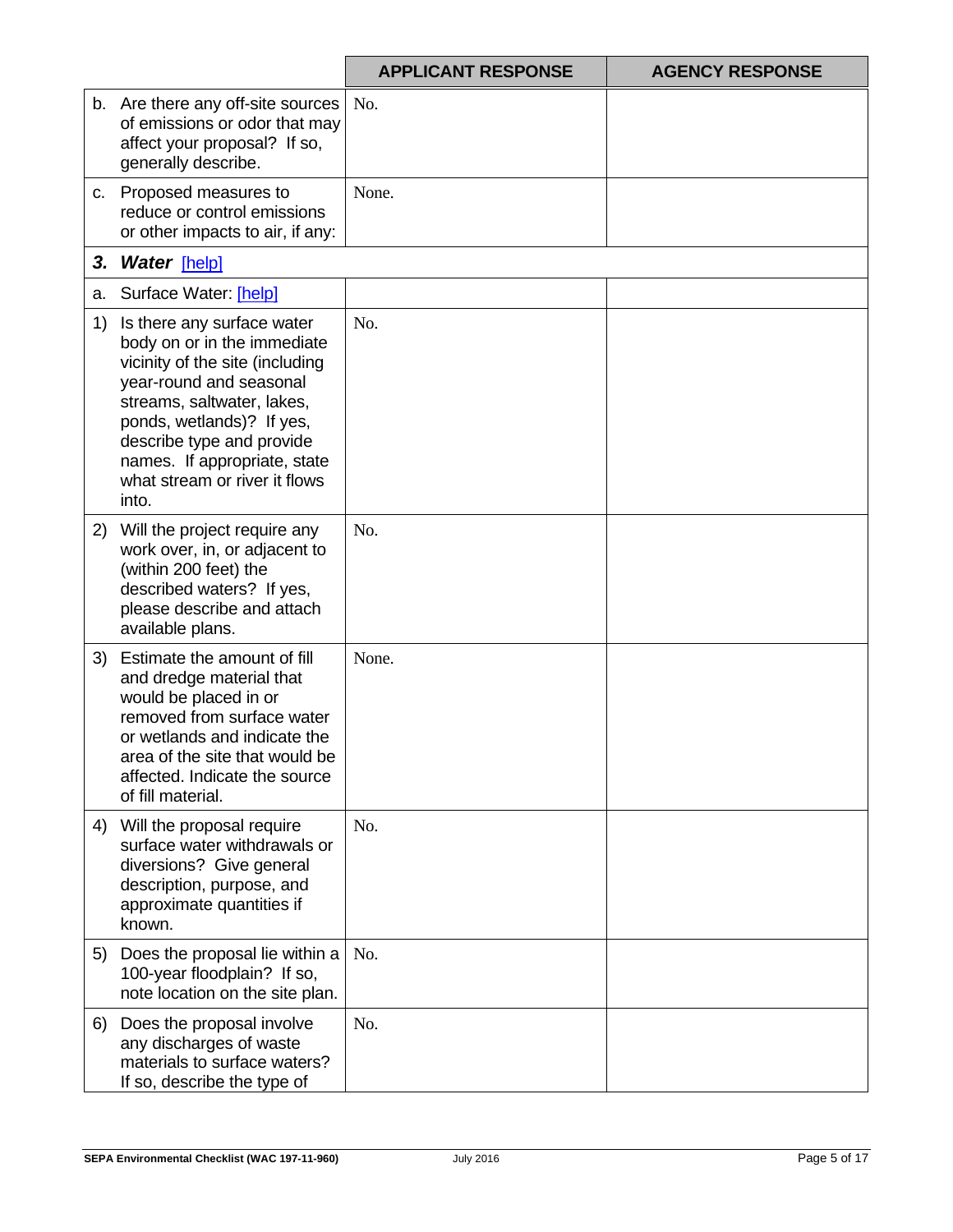|    |                                                                                                                                                                                                                                                                                           | <b>APPLICANT RESPONSE</b> | <b>AGENCY RESPONSE</b> |
|----|-------------------------------------------------------------------------------------------------------------------------------------------------------------------------------------------------------------------------------------------------------------------------------------------|---------------------------|------------------------|
|    | b. Are there any off-site sources<br>of emissions or odor that may<br>affect your proposal? If so,<br>generally describe.                                                                                                                                                                 | No.                       |                        |
| C. | Proposed measures to<br>reduce or control emissions<br>or other impacts to air, if any:                                                                                                                                                                                                   | None.                     |                        |
| 3. | <b>Water</b> [help]                                                                                                                                                                                                                                                                       |                           |                        |
| а. | Surface Water: [help]                                                                                                                                                                                                                                                                     |                           |                        |
| 1) | Is there any surface water<br>body on or in the immediate<br>vicinity of the site (including<br>year-round and seasonal<br>streams, saltwater, lakes,<br>ponds, wetlands)? If yes,<br>describe type and provide<br>names. If appropriate, state<br>what stream or river it flows<br>into. | No.                       |                        |
| 2) | Will the project require any<br>work over, in, or adjacent to<br>(within 200 feet) the<br>described waters? If yes,<br>please describe and attach<br>available plans.                                                                                                                     | No.                       |                        |
| 3) | Estimate the amount of fill<br>and dredge material that<br>would be placed in or<br>removed from surface water<br>or wetlands and indicate the<br>area of the site that would be<br>affected. Indicate the source<br>of fill material.                                                    | None.                     |                        |
| 4) | Will the proposal require<br>surface water withdrawals or<br>diversions? Give general<br>description, purpose, and<br>approximate quantities if<br>known.                                                                                                                                 | No.                       |                        |
| 5) | Does the proposal lie within a<br>100-year floodplain? If so,<br>note location on the site plan.                                                                                                                                                                                          | No.                       |                        |
| 6) | Does the proposal involve<br>any discharges of waste<br>materials to surface waters?<br>If so, describe the type of                                                                                                                                                                       | No.                       |                        |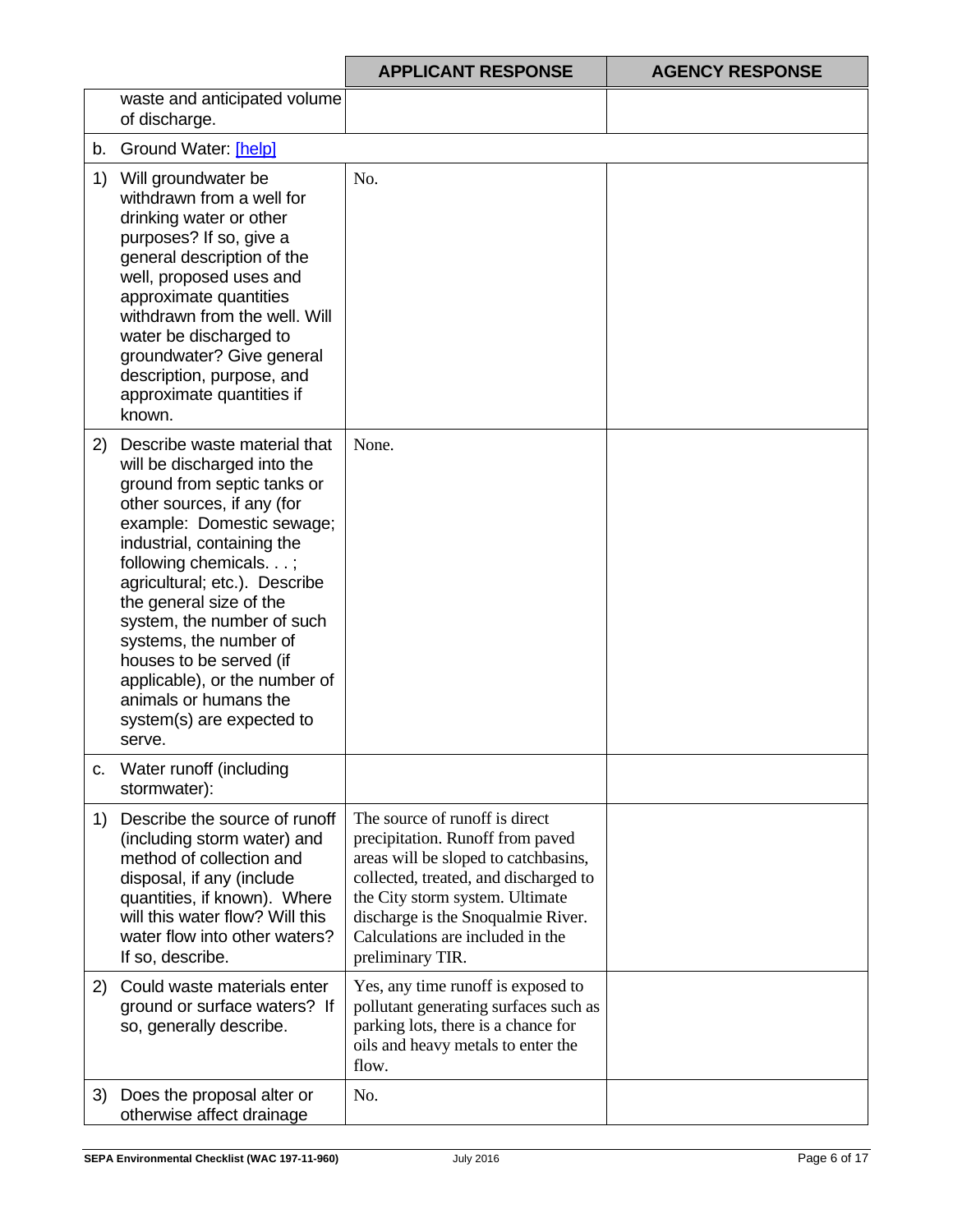|     |                                                                                                                                                                                                                                                                                                                                                                                                                                                              | <b>APPLICANT RESPONSE</b>                                                                                                                                                                                                                                                            | <b>AGENCY RESPONSE</b> |
|-----|--------------------------------------------------------------------------------------------------------------------------------------------------------------------------------------------------------------------------------------------------------------------------------------------------------------------------------------------------------------------------------------------------------------------------------------------------------------|--------------------------------------------------------------------------------------------------------------------------------------------------------------------------------------------------------------------------------------------------------------------------------------|------------------------|
|     | waste and anticipated volume<br>of discharge.                                                                                                                                                                                                                                                                                                                                                                                                                |                                                                                                                                                                                                                                                                                      |                        |
| b.  | Ground Water: [help]                                                                                                                                                                                                                                                                                                                                                                                                                                         |                                                                                                                                                                                                                                                                                      |                        |
| 1)  | Will groundwater be<br>withdrawn from a well for<br>drinking water or other<br>purposes? If so, give a<br>general description of the<br>well, proposed uses and<br>approximate quantities<br>withdrawn from the well. Will<br>water be discharged to<br>groundwater? Give general<br>description, purpose, and<br>approximate quantities if<br>known.                                                                                                        | No.                                                                                                                                                                                                                                                                                  |                        |
| (2) | Describe waste material that<br>will be discharged into the<br>ground from septic tanks or<br>other sources, if any (for<br>example: Domestic sewage;<br>industrial, containing the<br>following chemicals.;<br>agricultural; etc.). Describe<br>the general size of the<br>system, the number of such<br>systems, the number of<br>houses to be served (if<br>applicable), or the number of<br>animals or humans the<br>system(s) are expected to<br>serve. | None.                                                                                                                                                                                                                                                                                |                        |
| c.  | Water runoff (including<br>stormwater):                                                                                                                                                                                                                                                                                                                                                                                                                      |                                                                                                                                                                                                                                                                                      |                        |
| 1)  | Describe the source of runoff<br>(including storm water) and<br>method of collection and<br>disposal, if any (include<br>quantities, if known). Where<br>will this water flow? Will this<br>water flow into other waters?<br>If so, describe.                                                                                                                                                                                                                | The source of runoff is direct<br>precipitation. Runoff from paved<br>areas will be sloped to catchbasins,<br>collected, treated, and discharged to<br>the City storm system. Ultimate<br>discharge is the Snoqualmie River.<br>Calculations are included in the<br>preliminary TIR. |                        |
| 2)  | Could waste materials enter<br>ground or surface waters? If<br>so, generally describe.                                                                                                                                                                                                                                                                                                                                                                       | Yes, any time runoff is exposed to<br>pollutant generating surfaces such as<br>parking lots, there is a chance for<br>oils and heavy metals to enter the<br>flow.                                                                                                                    |                        |
| 3)  | Does the proposal alter or<br>otherwise affect drainage                                                                                                                                                                                                                                                                                                                                                                                                      | No.                                                                                                                                                                                                                                                                                  |                        |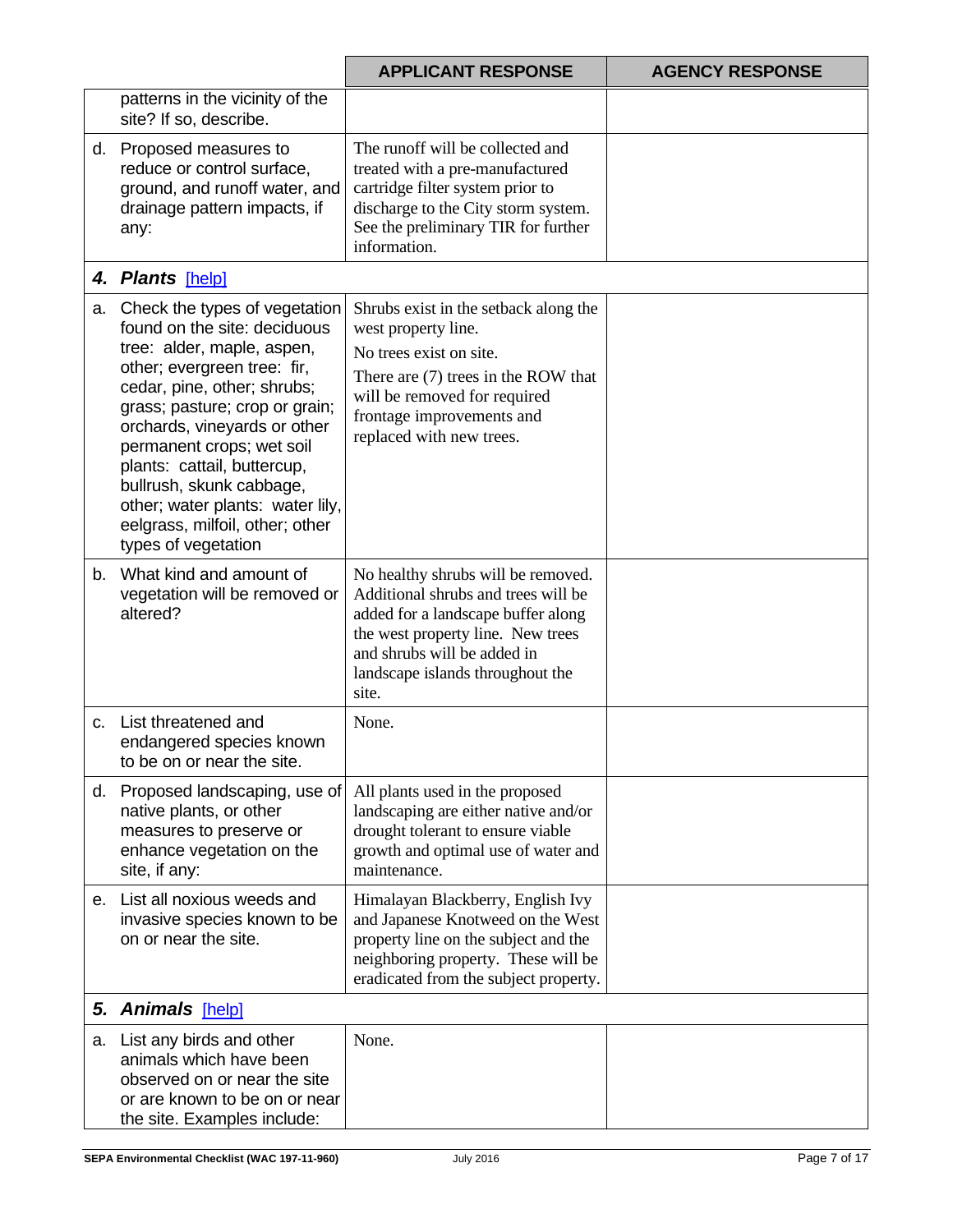|    |                                                                                                                                                                                                                                                                                                                                                                                                                   | <b>APPLICANT RESPONSE</b>                                                                                                                                                                                                        | <b>AGENCY RESPONSE</b> |
|----|-------------------------------------------------------------------------------------------------------------------------------------------------------------------------------------------------------------------------------------------------------------------------------------------------------------------------------------------------------------------------------------------------------------------|----------------------------------------------------------------------------------------------------------------------------------------------------------------------------------------------------------------------------------|------------------------|
|    | patterns in the vicinity of the<br>site? If so, describe.                                                                                                                                                                                                                                                                                                                                                         |                                                                                                                                                                                                                                  |                        |
|    | d. Proposed measures to<br>reduce or control surface,<br>ground, and runoff water, and<br>drainage pattern impacts, if<br>any:                                                                                                                                                                                                                                                                                    | The runoff will be collected and<br>treated with a pre-manufactured<br>cartridge filter system prior to<br>discharge to the City storm system.<br>See the preliminary TIR for further<br>information.                            |                        |
|    | 4. Plants [help]                                                                                                                                                                                                                                                                                                                                                                                                  |                                                                                                                                                                                                                                  |                        |
| а. | Check the types of vegetation<br>found on the site: deciduous<br>tree: alder, maple, aspen,<br>other; evergreen tree: fir,<br>cedar, pine, other; shrubs;<br>grass; pasture; crop or grain;<br>orchards, vineyards or other<br>permanent crops; wet soil<br>plants: cattail, buttercup,<br>bullrush, skunk cabbage,<br>other; water plants: water lily,<br>eelgrass, milfoil, other; other<br>types of vegetation | Shrubs exist in the setback along the<br>west property line.<br>No trees exist on site.<br>There are (7) trees in the ROW that<br>will be removed for required<br>frontage improvements and<br>replaced with new trees.          |                        |
| b. | What kind and amount of<br>vegetation will be removed or<br>altered?                                                                                                                                                                                                                                                                                                                                              | No healthy shrubs will be removed.<br>Additional shrubs and trees will be<br>added for a landscape buffer along<br>the west property line. New trees<br>and shrubs will be added in<br>landscape islands throughout the<br>site. |                        |
| C. | List threatened and<br>endangered species known<br>to be on or near the site.                                                                                                                                                                                                                                                                                                                                     | None.                                                                                                                                                                                                                            |                        |
|    | d. Proposed landscaping, use of<br>native plants, or other<br>measures to preserve or<br>enhance vegetation on the<br>site, if any:                                                                                                                                                                                                                                                                               | All plants used in the proposed<br>landscaping are either native and/or<br>drought tolerant to ensure viable<br>growth and optimal use of water and<br>maintenance.                                                              |                        |
| е. | List all noxious weeds and<br>invasive species known to be<br>on or near the site.                                                                                                                                                                                                                                                                                                                                | Himalayan Blackberry, English Ivy<br>and Japanese Knotweed on the West<br>property line on the subject and the<br>neighboring property. These will be<br>eradicated from the subject property.                                   |                        |
|    | 5. Animals [help]                                                                                                                                                                                                                                                                                                                                                                                                 |                                                                                                                                                                                                                                  |                        |
| а. | List any birds and other<br>animals which have been<br>observed on or near the site<br>or are known to be on or near<br>the site. Examples include:                                                                                                                                                                                                                                                               | None.                                                                                                                                                                                                                            |                        |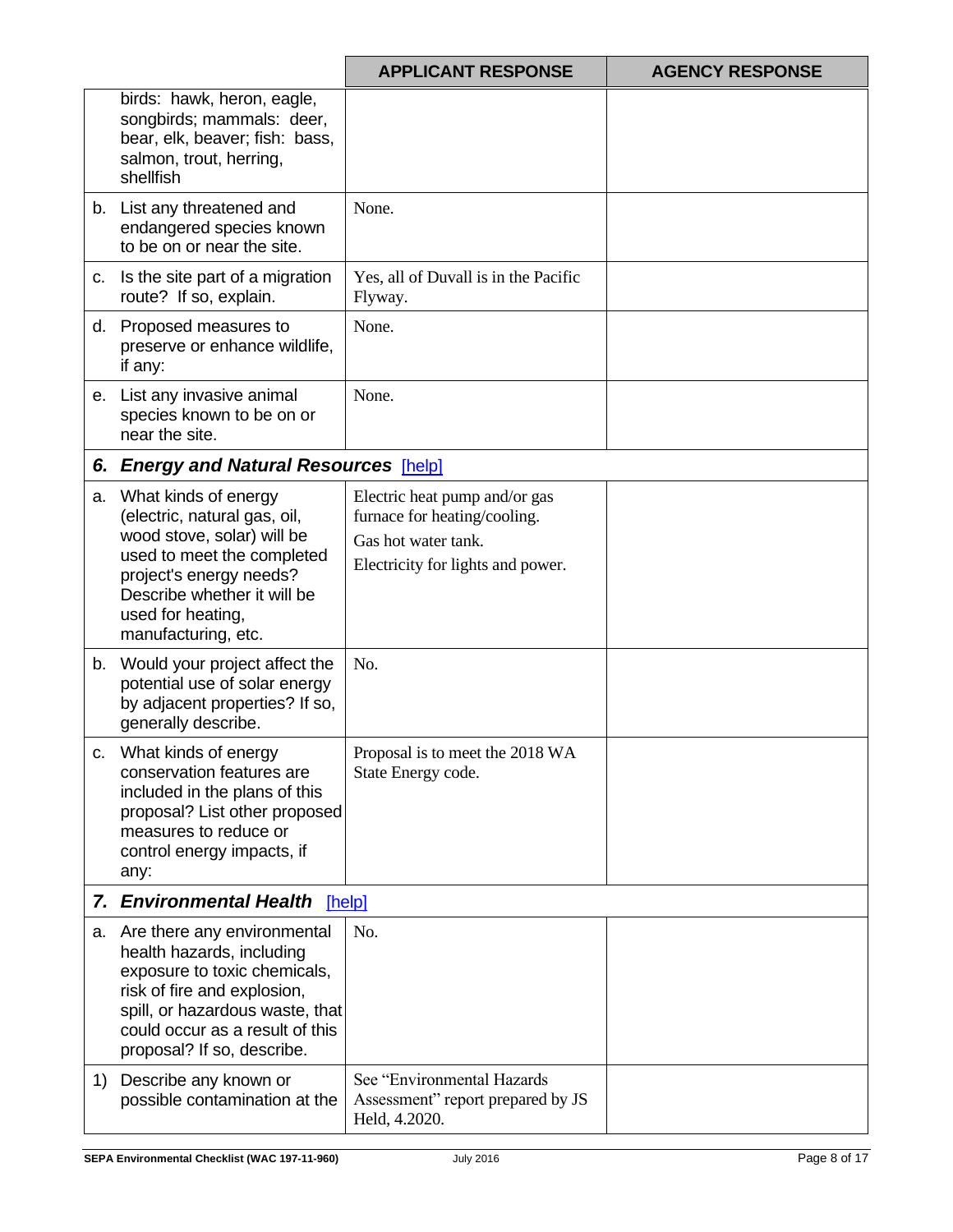|    |                                                                                                                                                                                                                                | <b>APPLICANT RESPONSE</b>                                                                                                 | <b>AGENCY RESPONSE</b> |
|----|--------------------------------------------------------------------------------------------------------------------------------------------------------------------------------------------------------------------------------|---------------------------------------------------------------------------------------------------------------------------|------------------------|
|    | birds: hawk, heron, eagle,<br>songbirds; mammals: deer,<br>bear, elk, beaver; fish: bass,<br>salmon, trout, herring,<br>shellfish                                                                                              |                                                                                                                           |                        |
|    | b. List any threatened and<br>endangered species known<br>to be on or near the site.                                                                                                                                           | None.                                                                                                                     |                        |
| c. | Is the site part of a migration<br>route? If so, explain.                                                                                                                                                                      | Yes, all of Duvall is in the Pacific<br>Flyway.                                                                           |                        |
|    | d. Proposed measures to<br>preserve or enhance wildlife,<br>if any:                                                                                                                                                            | None.                                                                                                                     |                        |
|    | e. List any invasive animal<br>species known to be on or<br>near the site.                                                                                                                                                     | None.                                                                                                                     |                        |
|    | 6. Energy and Natural Resources [help]                                                                                                                                                                                         |                                                                                                                           |                        |
| a. | What kinds of energy<br>(electric, natural gas, oil,<br>wood stove, solar) will be<br>used to meet the completed<br>project's energy needs?<br>Describe whether it will be<br>used for heating,<br>manufacturing, etc.         | Electric heat pump and/or gas<br>furnace for heating/cooling.<br>Gas hot water tank.<br>Electricity for lights and power. |                        |
|    | b. Would your project affect the<br>potential use of solar energy<br>by adjacent properties? If so,<br>generally describe.                                                                                                     | No.                                                                                                                       |                        |
| C. | What kinds of energy<br>conservation features are<br>included in the plans of this<br>proposal? List other proposed<br>measures to reduce or<br>control energy impacts, if<br>any:                                             | Proposal is to meet the 2018 WA<br>State Energy code.                                                                     |                        |
|    | 7. Environmental Health<br>[help]                                                                                                                                                                                              |                                                                                                                           |                        |
|    | a. Are there any environmental<br>health hazards, including<br>exposure to toxic chemicals,<br>risk of fire and explosion,<br>spill, or hazardous waste, that<br>could occur as a result of this<br>proposal? If so, describe. | No.                                                                                                                       |                        |
| 1) | Describe any known or<br>possible contamination at the                                                                                                                                                                         | See "Environmental Hazards<br>Assessment" report prepared by JS<br>Held, 4.2020.                                          |                        |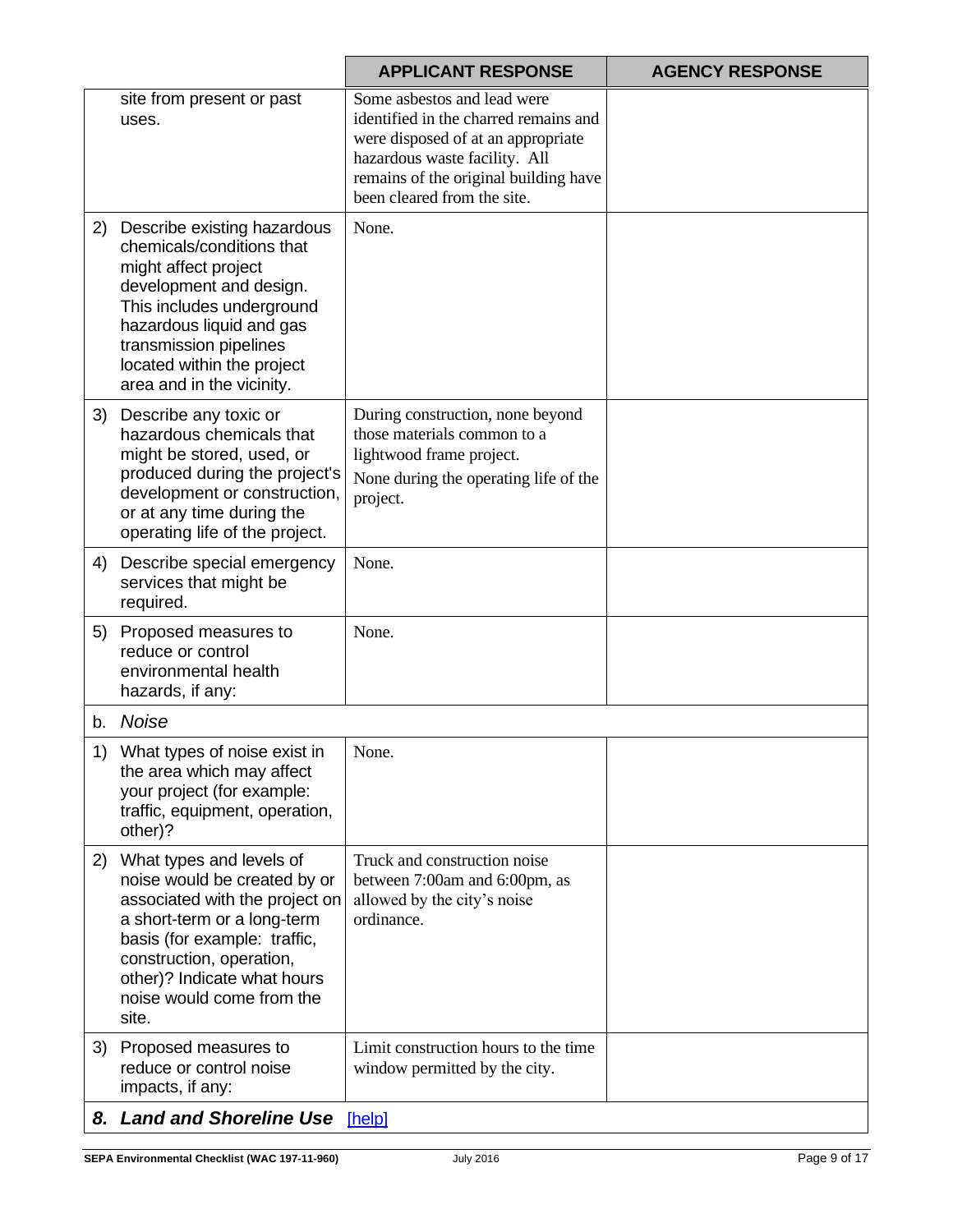|    |                                                                                                                                                                                                                                                            | <b>APPLICANT RESPONSE</b>                                                                                                                                                                                           | <b>AGENCY RESPONSE</b> |
|----|------------------------------------------------------------------------------------------------------------------------------------------------------------------------------------------------------------------------------------------------------------|---------------------------------------------------------------------------------------------------------------------------------------------------------------------------------------------------------------------|------------------------|
|    | site from present or past<br>uses.                                                                                                                                                                                                                         | Some asbestos and lead were<br>identified in the charred remains and<br>were disposed of at an appropriate<br>hazardous waste facility. All<br>remains of the original building have<br>been cleared from the site. |                        |
| 2) | Describe existing hazardous<br>chemicals/conditions that<br>might affect project<br>development and design.<br>This includes underground<br>hazardous liquid and gas<br>transmission pipelines<br>located within the project<br>area and in the vicinity.  | None.                                                                                                                                                                                                               |                        |
| 3) | Describe any toxic or<br>hazardous chemicals that<br>might be stored, used, or<br>produced during the project's<br>development or construction,<br>or at any time during the<br>operating life of the project.                                             | During construction, none beyond<br>those materials common to a<br>lightwood frame project.<br>None during the operating life of the<br>project.                                                                    |                        |
| 4) | Describe special emergency<br>services that might be<br>required.                                                                                                                                                                                          | None.                                                                                                                                                                                                               |                        |
| 5) | Proposed measures to<br>reduce or control<br>environmental health<br>hazards, if any:                                                                                                                                                                      | None.                                                                                                                                                                                                               |                        |
|    | b. Noise                                                                                                                                                                                                                                                   |                                                                                                                                                                                                                     |                        |
|    | 1) What types of noise exist in<br>the area which may affect<br>your project (for example:<br>traffic, equipment, operation,<br>other)?                                                                                                                    | None.                                                                                                                                                                                                               |                        |
| 2) | What types and levels of<br>noise would be created by or<br>associated with the project on<br>a short-term or a long-term<br>basis (for example: traffic,<br>construction, operation,<br>other)? Indicate what hours<br>noise would come from the<br>site. | Truck and construction noise<br>between 7:00am and 6:00pm, as<br>allowed by the city's noise<br>ordinance.                                                                                                          |                        |
| 3) | Proposed measures to<br>reduce or control noise<br>impacts, if any:                                                                                                                                                                                        | Limit construction hours to the time<br>window permitted by the city.                                                                                                                                               |                        |
|    | 8. Land and Shoreline Use [help]                                                                                                                                                                                                                           |                                                                                                                                                                                                                     |                        |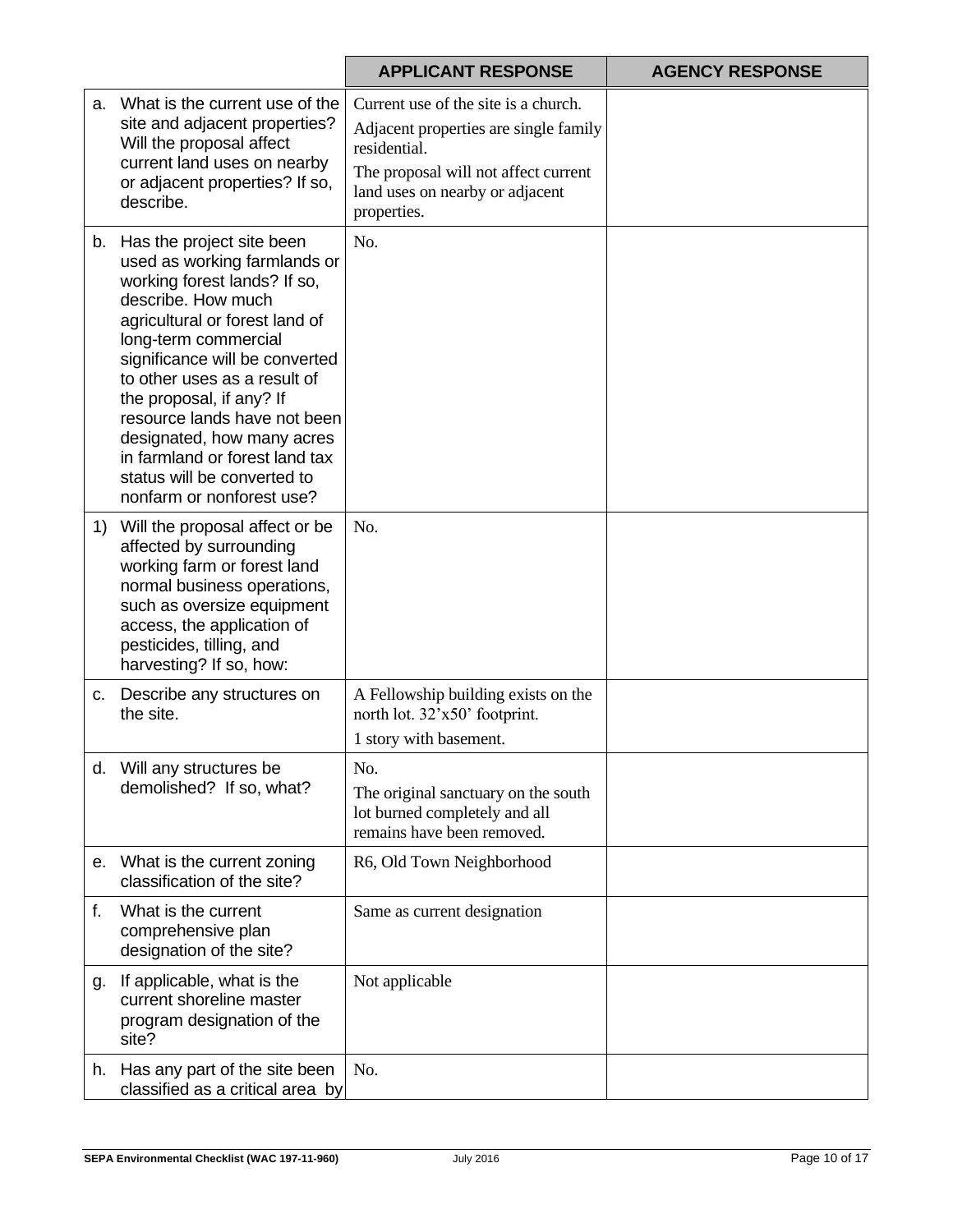|             |                                                                                                                                                                                                                                                                                                                                                                                                                                        | <b>APPLICANT RESPONSE</b>                                                                                                                                                               | <b>AGENCY RESPONSE</b> |
|-------------|----------------------------------------------------------------------------------------------------------------------------------------------------------------------------------------------------------------------------------------------------------------------------------------------------------------------------------------------------------------------------------------------------------------------------------------|-----------------------------------------------------------------------------------------------------------------------------------------------------------------------------------------|------------------------|
|             | a. What is the current use of the<br>site and adjacent properties?<br>Will the proposal affect<br>current land uses on nearby<br>or adjacent properties? If so,<br>describe.                                                                                                                                                                                                                                                           | Current use of the site is a church.<br>Adjacent properties are single family<br>residential.<br>The proposal will not affect current<br>land uses on nearby or adjacent<br>properties. |                        |
|             | b. Has the project site been<br>used as working farmlands or<br>working forest lands? If so,<br>describe. How much<br>agricultural or forest land of<br>long-term commercial<br>significance will be converted<br>to other uses as a result of<br>the proposal, if any? If<br>resource lands have not been<br>designated, how many acres<br>in farmland or forest land tax<br>status will be converted to<br>nonfarm or nonforest use? | No.                                                                                                                                                                                     |                        |
| 1)          | Will the proposal affect or be<br>affected by surrounding<br>working farm or forest land<br>normal business operations,<br>such as oversize equipment<br>access, the application of<br>pesticides, tilling, and<br>harvesting? If so, how:                                                                                                                                                                                             | No.                                                                                                                                                                                     |                        |
| C.          | Describe any structures on<br>the site.                                                                                                                                                                                                                                                                                                                                                                                                | A Fellowship building exists on the<br>north lot. 32'x50' footprint.<br>1 story with basement.                                                                                          |                        |
| d.          | Will any structures be<br>demolished? If so, what?                                                                                                                                                                                                                                                                                                                                                                                     | No.<br>The original sanctuary on the south<br>lot burned completely and all<br>remains have been removed.                                                                               |                        |
| е.          | What is the current zoning<br>classification of the site?                                                                                                                                                                                                                                                                                                                                                                              | R6, Old Town Neighborhood                                                                                                                                                               |                        |
| $f_{\cdot}$ | What is the current<br>comprehensive plan<br>designation of the site?                                                                                                                                                                                                                                                                                                                                                                  | Same as current designation                                                                                                                                                             |                        |
| g.          | If applicable, what is the<br>current shoreline master<br>program designation of the<br>site?                                                                                                                                                                                                                                                                                                                                          | Not applicable                                                                                                                                                                          |                        |
| h.          | Has any part of the site been<br>classified as a critical area by                                                                                                                                                                                                                                                                                                                                                                      | No.                                                                                                                                                                                     |                        |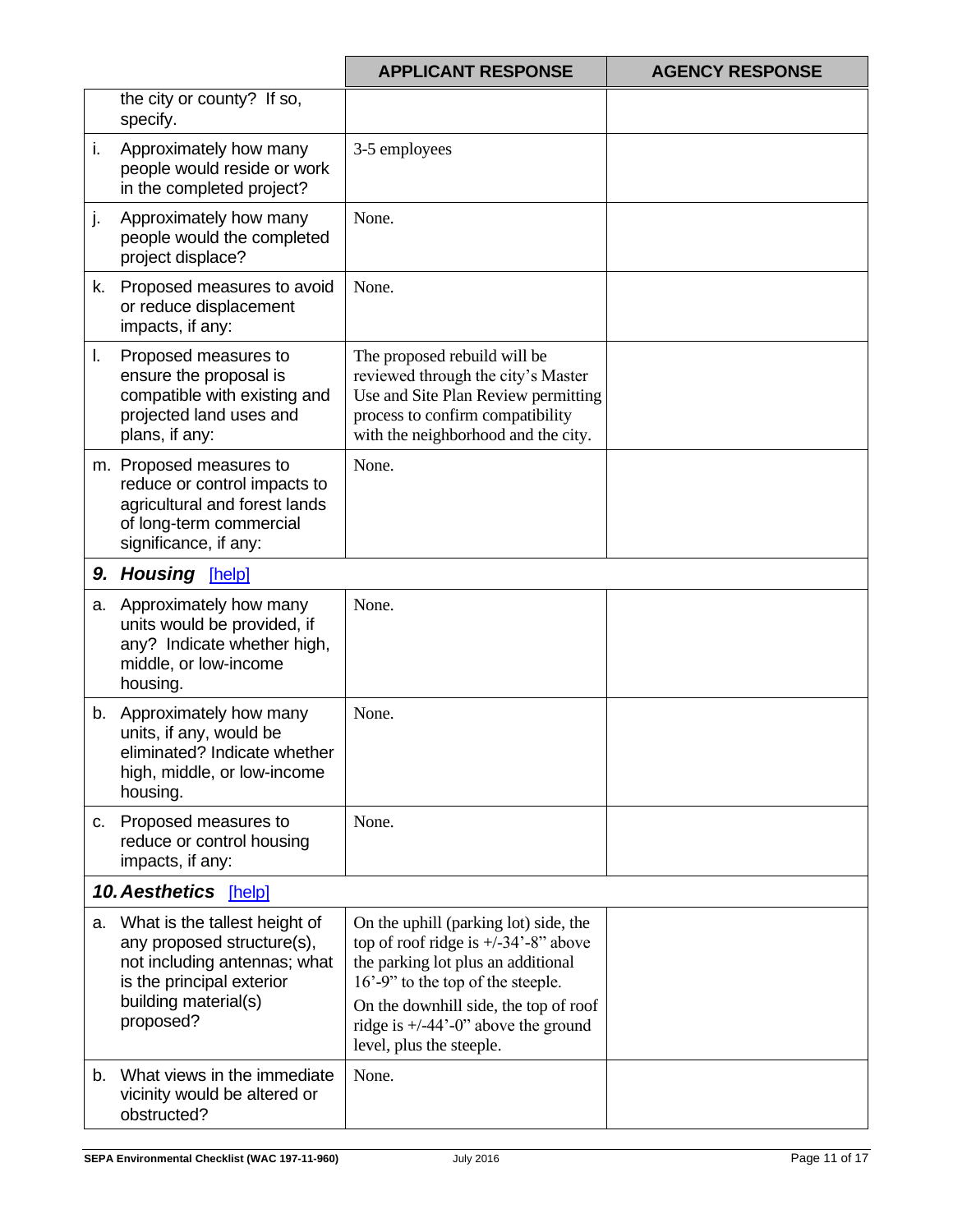|    |                                                                                                                                                               | <b>APPLICANT RESPONSE</b>                                                                                                                                                                                                                                                                                       | <b>AGENCY RESPONSE</b> |
|----|---------------------------------------------------------------------------------------------------------------------------------------------------------------|-----------------------------------------------------------------------------------------------------------------------------------------------------------------------------------------------------------------------------------------------------------------------------------------------------------------|------------------------|
|    | the city or county? If so,<br>specify.                                                                                                                        |                                                                                                                                                                                                                                                                                                                 |                        |
| i. | Approximately how many<br>people would reside or work<br>in the completed project?                                                                            | 3-5 employees                                                                                                                                                                                                                                                                                                   |                        |
| j. | Approximately how many<br>people would the completed<br>project displace?                                                                                     | None.                                                                                                                                                                                                                                                                                                           |                        |
| k. | Proposed measures to avoid<br>or reduce displacement<br>impacts, if any:                                                                                      | None.                                                                                                                                                                                                                                                                                                           |                        |
| I. | Proposed measures to<br>ensure the proposal is<br>compatible with existing and<br>projected land uses and<br>plans, if any:                                   | The proposed rebuild will be<br>reviewed through the city's Master<br>Use and Site Plan Review permitting<br>process to confirm compatibility<br>with the neighborhood and the city.                                                                                                                            |                        |
|    | m. Proposed measures to<br>reduce or control impacts to<br>agricultural and forest lands<br>of long-term commercial<br>significance, if any:                  | None.                                                                                                                                                                                                                                                                                                           |                        |
| 9. | <b>Housing [help]</b>                                                                                                                                         |                                                                                                                                                                                                                                                                                                                 |                        |
|    | a. Approximately how many<br>units would be provided, if<br>any? Indicate whether high,<br>middle, or low-income<br>housing.                                  | None.                                                                                                                                                                                                                                                                                                           |                        |
|    | b. Approximately how many<br>units, if any, would be<br>eliminated? Indicate whether<br>high, middle, or low-income<br>housing.                               | None.                                                                                                                                                                                                                                                                                                           |                        |
| C. | Proposed measures to<br>reduce or control housing<br>impacts, if any:                                                                                         | None.                                                                                                                                                                                                                                                                                                           |                        |
|    | 10. Aesthetics [help]                                                                                                                                         |                                                                                                                                                                                                                                                                                                                 |                        |
| a. | What is the tallest height of<br>any proposed structure(s),<br>not including antennas; what<br>is the principal exterior<br>building material(s)<br>proposed? | On the uphill (parking lot) side, the<br>top of roof ridge is $+/-34$ <sup>2</sup> -8" above<br>the parking lot plus an additional<br>16'-9" to the top of the steeple.<br>On the downhill side, the top of roof<br>ridge is $+/-44$ <sup><math>-</math></sup> -0" above the ground<br>level, plus the steeple. |                        |
| b. | What views in the immediate<br>vicinity would be altered or<br>obstructed?                                                                                    | None.                                                                                                                                                                                                                                                                                                           |                        |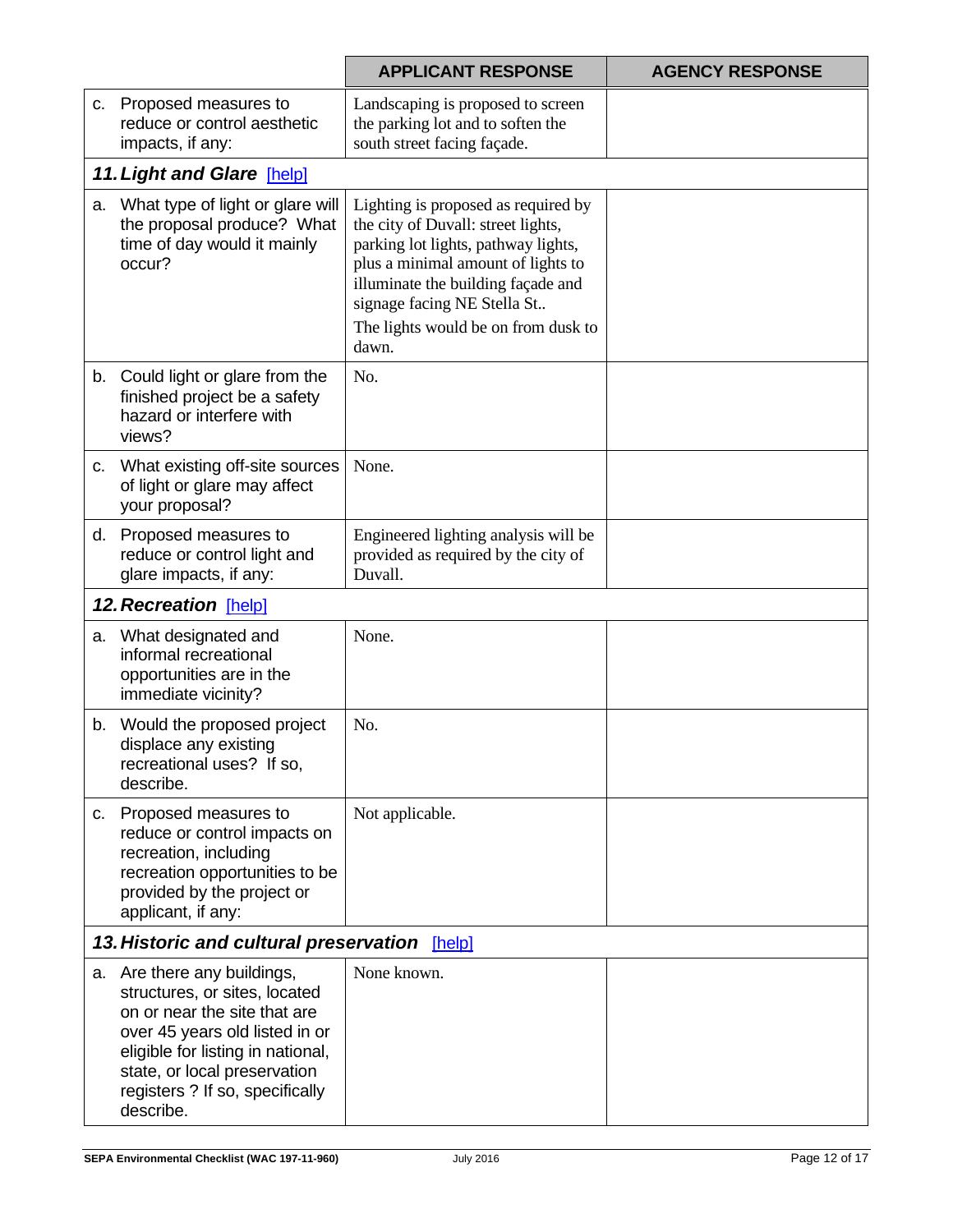|    |                                                                                                                                                                                                                                                     | <b>APPLICANT RESPONSE</b>                                                                                                                                                                                                                                                   | <b>AGENCY RESPONSE</b> |  |  |
|----|-----------------------------------------------------------------------------------------------------------------------------------------------------------------------------------------------------------------------------------------------------|-----------------------------------------------------------------------------------------------------------------------------------------------------------------------------------------------------------------------------------------------------------------------------|------------------------|--|--|
| C. | Proposed measures to<br>reduce or control aesthetic<br>impacts, if any:                                                                                                                                                                             | Landscaping is proposed to screen<br>the parking lot and to soften the<br>south street facing façade.                                                                                                                                                                       |                        |  |  |
|    | 11. Light and Glare [help]                                                                                                                                                                                                                          |                                                                                                                                                                                                                                                                             |                        |  |  |
| а. | What type of light or glare will<br>the proposal produce? What<br>time of day would it mainly<br>occur?                                                                                                                                             | Lighting is proposed as required by<br>the city of Duvall: street lights,<br>parking lot lights, pathway lights,<br>plus a minimal amount of lights to<br>illuminate the building façade and<br>signage facing NE Stella St<br>The lights would be on from dusk to<br>dawn. |                        |  |  |
|    | b. Could light or glare from the<br>finished project be a safety<br>hazard or interfere with<br>views?                                                                                                                                              | No.                                                                                                                                                                                                                                                                         |                        |  |  |
| C. | What existing off-site sources<br>of light or glare may affect<br>your proposal?                                                                                                                                                                    | None.                                                                                                                                                                                                                                                                       |                        |  |  |
|    | d. Proposed measures to<br>reduce or control light and<br>glare impacts, if any:                                                                                                                                                                    | Engineered lighting analysis will be<br>provided as required by the city of<br>Duvall.                                                                                                                                                                                      |                        |  |  |
|    | 12. Recreation [help]                                                                                                                                                                                                                               |                                                                                                                                                                                                                                                                             |                        |  |  |
|    | a. What designated and<br>informal recreational<br>opportunities are in the<br>immediate vicinity?                                                                                                                                                  | None.                                                                                                                                                                                                                                                                       |                        |  |  |
| b. | Would the proposed project<br>displace any existing<br>recreational uses? If so,<br>describe.                                                                                                                                                       | No.                                                                                                                                                                                                                                                                         |                        |  |  |
|    | c. Proposed measures to<br>reduce or control impacts on<br>recreation, including<br>recreation opportunities to be<br>provided by the project or<br>applicant, if any:                                                                              | Not applicable.                                                                                                                                                                                                                                                             |                        |  |  |
|    | 13. Historic and cultural preservation [help]                                                                                                                                                                                                       |                                                                                                                                                                                                                                                                             |                        |  |  |
|    | a. Are there any buildings,<br>structures, or sites, located<br>on or near the site that are<br>over 45 years old listed in or<br>eligible for listing in national,<br>state, or local preservation<br>registers ? If so, specifically<br>describe. | None known.                                                                                                                                                                                                                                                                 |                        |  |  |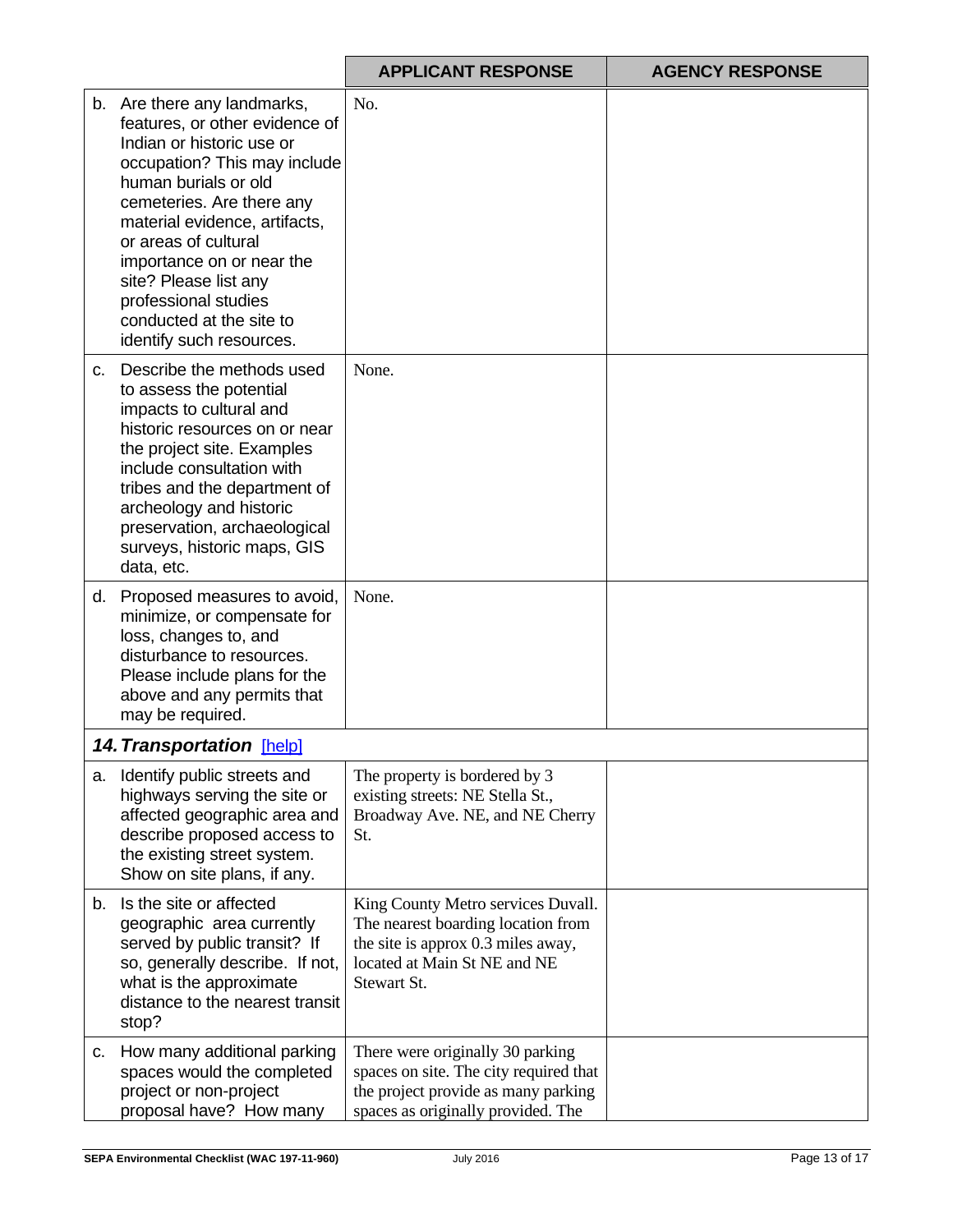|         |                                                                                                                                                                                                                                                                                                                                                                                | <b>APPLICANT RESPONSE</b>                                                                                                                                     | <b>AGENCY RESPONSE</b> |
|---------|--------------------------------------------------------------------------------------------------------------------------------------------------------------------------------------------------------------------------------------------------------------------------------------------------------------------------------------------------------------------------------|---------------------------------------------------------------------------------------------------------------------------------------------------------------|------------------------|
|         | b. Are there any landmarks,<br>features, or other evidence of<br>Indian or historic use or<br>occupation? This may include<br>human burials or old<br>cemeteries. Are there any<br>material evidence, artifacts,<br>or areas of cultural<br>importance on or near the<br>site? Please list any<br>professional studies<br>conducted at the site to<br>identify such resources. | No.                                                                                                                                                           |                        |
| $C_{1}$ | Describe the methods used<br>to assess the potential<br>impacts to cultural and<br>historic resources on or near<br>the project site. Examples<br>include consultation with<br>tribes and the department of<br>archeology and historic<br>preservation, archaeological<br>surveys, historic maps, GIS<br>data, etc.                                                            | None.                                                                                                                                                         |                        |
|         | d. Proposed measures to avoid,<br>minimize, or compensate for<br>loss, changes to, and<br>disturbance to resources.<br>Please include plans for the<br>above and any permits that<br>may be required.                                                                                                                                                                          | None.                                                                                                                                                         |                        |
|         | <b>14. Transportation [help]</b>                                                                                                                                                                                                                                                                                                                                               |                                                                                                                                                               |                        |
|         | a. Identify public streets and<br>highways serving the site or<br>affected geographic area and<br>describe proposed access to<br>the existing street system.<br>Show on site plans, if any.                                                                                                                                                                                    | The property is bordered by 3<br>existing streets: NE Stella St.,<br>Broadway Ave. NE, and NE Cherry<br>St.                                                   |                        |
|         | b. Is the site or affected<br>geographic area currently<br>served by public transit? If<br>so, generally describe. If not,<br>what is the approximate<br>distance to the nearest transit<br>stop?                                                                                                                                                                              | King County Metro services Duvall.<br>The nearest boarding location from<br>the site is approx 0.3 miles away,<br>located at Main St NE and NE<br>Stewart St. |                        |
| C.      | How many additional parking<br>spaces would the completed<br>project or non-project<br>proposal have? How many                                                                                                                                                                                                                                                                 | There were originally 30 parking<br>spaces on site. The city required that<br>the project provide as many parking<br>spaces as originally provided. The       |                        |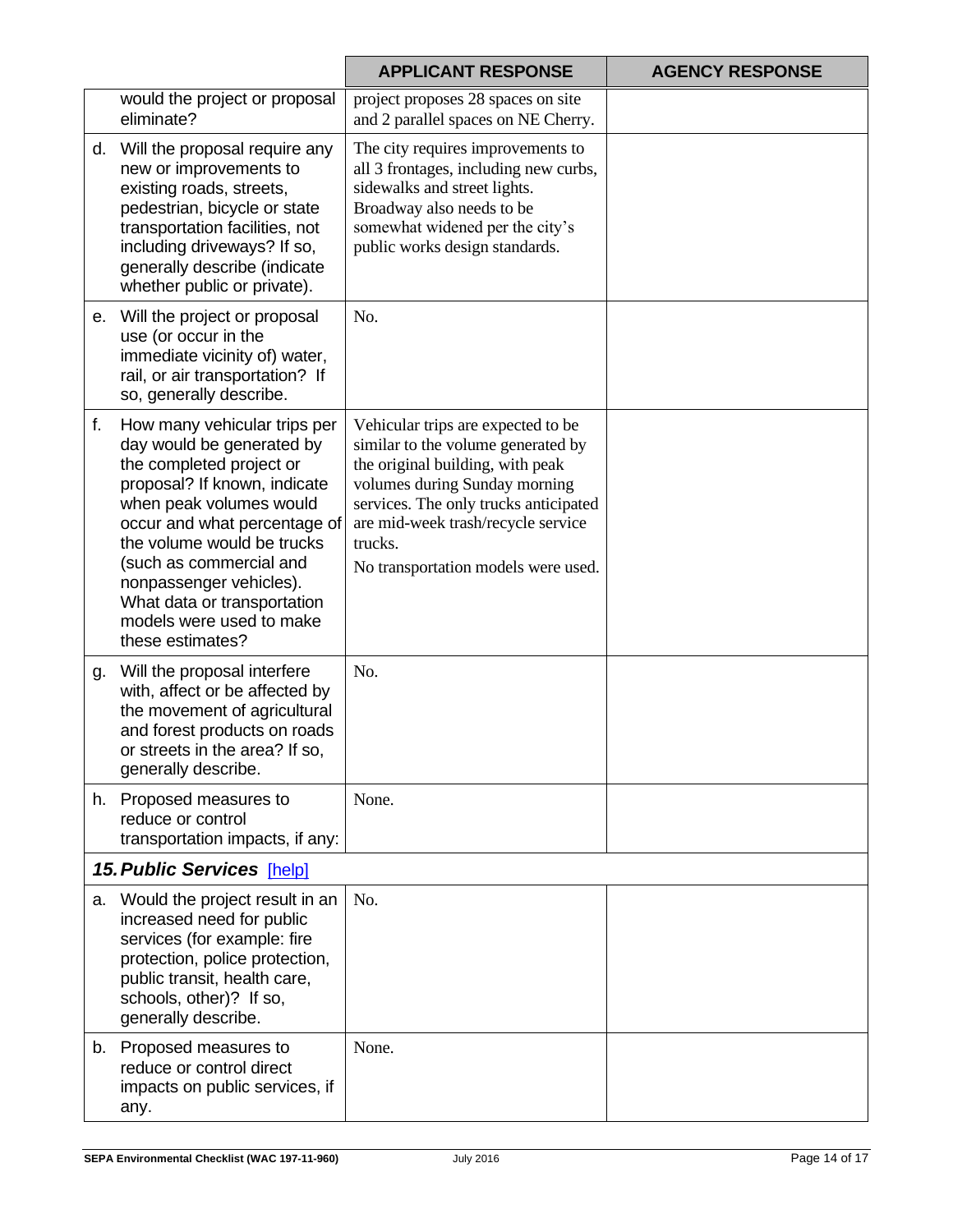|    |                                                                                                                                                                                                                                                                                                                                                     | <b>APPLICANT RESPONSE</b>                                                                                                                                                                                                                                                      | <b>AGENCY RESPONSE</b> |
|----|-----------------------------------------------------------------------------------------------------------------------------------------------------------------------------------------------------------------------------------------------------------------------------------------------------------------------------------------------------|--------------------------------------------------------------------------------------------------------------------------------------------------------------------------------------------------------------------------------------------------------------------------------|------------------------|
|    | would the project or proposal<br>eliminate?                                                                                                                                                                                                                                                                                                         | project proposes 28 spaces on site<br>and 2 parallel spaces on NE Cherry.                                                                                                                                                                                                      |                        |
|    | d. Will the proposal require any<br>new or improvements to<br>existing roads, streets,<br>pedestrian, bicycle or state<br>transportation facilities, not<br>including driveways? If so,<br>generally describe (indicate<br>whether public or private).                                                                                              | The city requires improvements to<br>all 3 frontages, including new curbs,<br>sidewalks and street lights.<br>Broadway also needs to be<br>somewhat widened per the city's<br>public works design standards.                                                                   |                        |
|    | e. Will the project or proposal<br>use (or occur in the<br>immediate vicinity of) water,<br>rail, or air transportation? If<br>so, generally describe.                                                                                                                                                                                              | No.                                                                                                                                                                                                                                                                            |                        |
| f. | How many vehicular trips per<br>day would be generated by<br>the completed project or<br>proposal? If known, indicate<br>when peak volumes would<br>occur and what percentage of<br>the volume would be trucks<br>(such as commercial and<br>nonpassenger vehicles).<br>What data or transportation<br>models were used to make<br>these estimates? | Vehicular trips are expected to be<br>similar to the volume generated by<br>the original building, with peak<br>volumes during Sunday morning<br>services. The only trucks anticipated<br>are mid-week trash/recycle service<br>trucks.<br>No transportation models were used. |                        |
|    | g. Will the proposal interfere<br>with, affect or be affected by<br>the movement of agricultural<br>and forest products on roads<br>or streets in the area? If so,<br>generally describe.                                                                                                                                                           | No.                                                                                                                                                                                                                                                                            |                        |
| h. | Proposed measures to<br>reduce or control<br>transportation impacts, if any:                                                                                                                                                                                                                                                                        | None.                                                                                                                                                                                                                                                                          |                        |
|    | <b>15. Public Services [help]</b>                                                                                                                                                                                                                                                                                                                   |                                                                                                                                                                                                                                                                                |                        |
| а. | Would the project result in an<br>increased need for public<br>services (for example: fire<br>protection, police protection,<br>public transit, health care,<br>schools, other)? If so,<br>generally describe.                                                                                                                                      | No.                                                                                                                                                                                                                                                                            |                        |
| b. | Proposed measures to<br>reduce or control direct<br>impacts on public services, if<br>any.                                                                                                                                                                                                                                                          | None.                                                                                                                                                                                                                                                                          |                        |